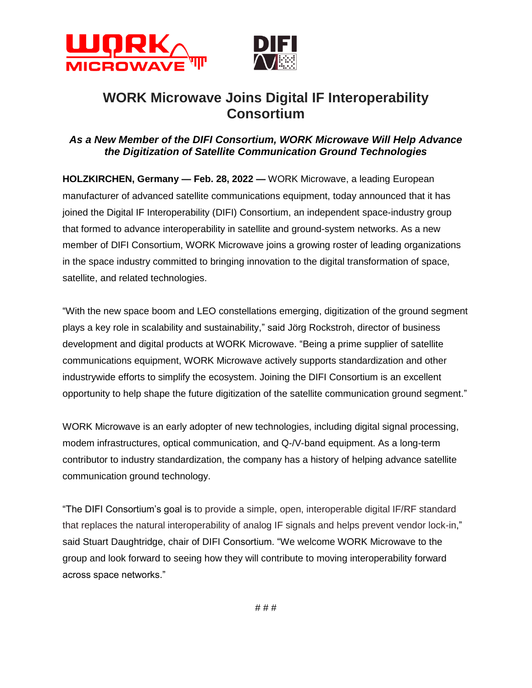



# **WORK Microwave Joins Digital IF Interoperability Consortium**

## *As a New Member of the DIFI Consortium, WORK Microwave Will Help Advance the Digitization of Satellite Communication Ground Technologies*

**HOLZKIRCHEN, Germany — Feb. 28, 2022 —** WORK Microwave, a leading European manufacturer of advanced satellite communications equipment, today announced that it has joined the Digital IF Interoperability (DIFI) Consortium, an independent space-industry group that formed to advance interoperability in satellite and ground-system networks. As a new member of DIFI Consortium, WORK Microwave joins a growing roster of leading organizations in the space industry committed to bringing innovation to the digital transformation of space, satellite, and related technologies.

"With the new space boom and LEO constellations emerging, digitization of the ground segment plays a key role in scalability and sustainability," said Jörg Rockstroh, director of business development and digital products at WORK Microwave. "Being a prime supplier of satellite communications equipment, WORK Microwave actively supports standardization and other industrywide efforts to simplify the ecosystem. Joining the DIFI Consortium is an excellent opportunity to help shape the future digitization of the satellite communication ground segment."

WORK Microwave is an early adopter of new technologies, including digital signal processing, modem infrastructures, optical communication, and Q-/V-band equipment. As a long-term contributor to industry standardization, the company has a history of helping advance satellite communication ground technology.

"The DIFI Consortium's goal is to provide a simple, open, interoperable digital IF/RF standard that replaces the natural interoperability of analog IF signals and helps prevent vendor lock-in," said Stuart Daughtridge, chair of DIFI Consortium. "We welcome WORK Microwave to the group and look forward to seeing how they will contribute to moving interoperability forward across space networks."